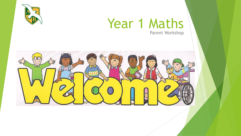

### Year 1 Maths Parent Workshop

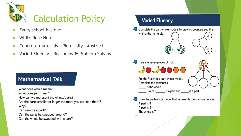

- Every school has one.
- White Rose Hub
- Concrete materials Pictorially Abstract
- Varied Fluency Reasoning & Problem Solving

### **Mathematical Talk**

What does whole mean? What does part mean? How can we represent the whole/parts? Are the parts smaller or larger the more you partition them? Why? Can zero be a part? Can the parts be swapped around? Can the whole be swapped with a part?

### **Varied Fluency** Complete the part-whole models by drawing counters and then writing the numerals.  $\binom{8}{0}$ 5 Here are seven pieces of fruit. 909000 Put the fruit into a part-whole model. Complete the sentences. is the whole. is a part, \_\_\_\_\_\_ is a part and \_\_\_\_\_\_ is a part. Draw the part-whole model that represents the stem sentences. A part is 4 A part is 3 The whole is 7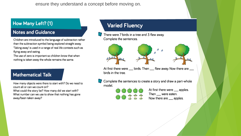ensure they understand a concept before moving on.

#### How Many Left? (1)

#### **Notes and Guidance**

Children are introduced to the language of subtraction rather than the subtraction symbol being explored straight away. 'Taking away' is used in a range of real life contexts such as flying away and eating.

The use of zero is important so children know that when nothing is taken away the whole remains the same.

#### **Mathematical Talk**

How many objects were there to start with? Do we need to count all or can we count on? What could the story be? How many did we start with? What number can we use to show that nothing has gone away/been taken away?

### **Varied Fluency**

There were 7 birds in a tree and 3 flew away. Complete the sentences.





At first there were birds. Then \_\_ flew away. Now there are \_\_ birds in the tree.

Complete the sentences to create a story and draw a part-whole model.

かめたなた

At first there were \_\_ apples. Then \_\_ were eaten. Now there are \_\_ apples.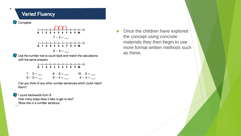### **Varied Fluency**



| $7 - 3 =$ — | $6 - 6 =$ — | $10 - 6 =$ — |
|-------------|-------------|--------------|
| $5 - 0 =$   |             |              |

Can you think of any other number sentences which could match them?

count backwards from 9 How many steps does it take to get to two? Show this in a number sentence.

 $\neg$ o

Once the children have explored  $\blacktriangleright$ the concept using concrete materials they then begin to use more formal written methods such as these.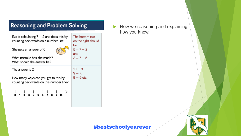| <b>Reasoning and Problem Solving</b>                                                                           |                                                                    |  |  |  |
|----------------------------------------------------------------------------------------------------------------|--------------------------------------------------------------------|--|--|--|
| Eva is calculating $7 - 2$ and does this by<br>counting backwards on a number line.<br>She gets an answer of 6 | The bottom two<br>on the right should<br>be:<br>$5 = 7 - 2$<br>and |  |  |  |
| What mistake has she made?<br>What should the answer be?                                                       | $2 = 7 - 5$                                                        |  |  |  |
| The answer is 2<br>How many ways can you get to this by<br>counting backwards on this number line?             | $10 - 8$<br>$9 - 7$<br>$8-6$ etc.                                  |  |  |  |
|                                                                                                                |                                                                    |  |  |  |

 $\blacktriangleright$  Now we reasoning and explaining how you know.

### #bestschoolyearever

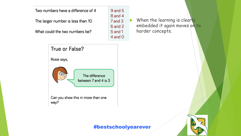Two numbers have a difference of 4

The larger number is less than 10

What could the two numbers be?

 $\triangleright$  When the learning is clearly embedded it again moves on to harder concepts.



#### #bestschoolyearever

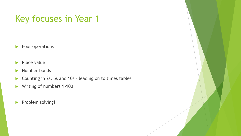# Key focuses in Year 1

Four operations

- $\blacktriangleright$  Place value
- Number bonds
- ▶ Counting in 2s, 5s and 10s leading on to times tables
- ▶ Writing of numbers 1-100
- Problem solving!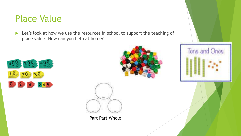### Place Value

Let's look at how we use the resources in school to support the teaching of place value. How can you help at home?







Part Part Whole

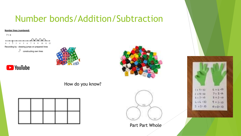# Number bonds/Addition/Subtraction

#### Number lines (numbered)

**D** YouTube

 $7 + 4$ 

 $10 11 - 12$ 1931 - 71 - 55 Recording by - drawing jumps on prepared lines ol constructing own lines





How do you know?



Part Part Whole

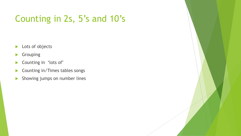# Counting in 2s, 5's and 10's

- **Lots of objects**
- Grouping
- Counting in 'lots of'
- ▶ Counting in/Times tables songs
- **Showing jumps on number lines**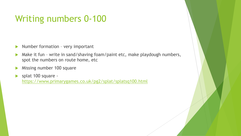# Writing numbers 0-100

- $\blacktriangleright$  Number formation very important
- Make it fun write in sand/shaving foam/paint etc, make playdough numbers, spot the numbers on route home, etc
- Missing number 100 square
- splat 100 square <https://www.primarygames.co.uk/pg2/splat/splatsq100.html>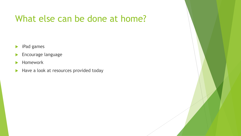## What else can be done at home?

- **iPad games**
- **Encourage language**
- **Homework**
- Have a look at resources provided today